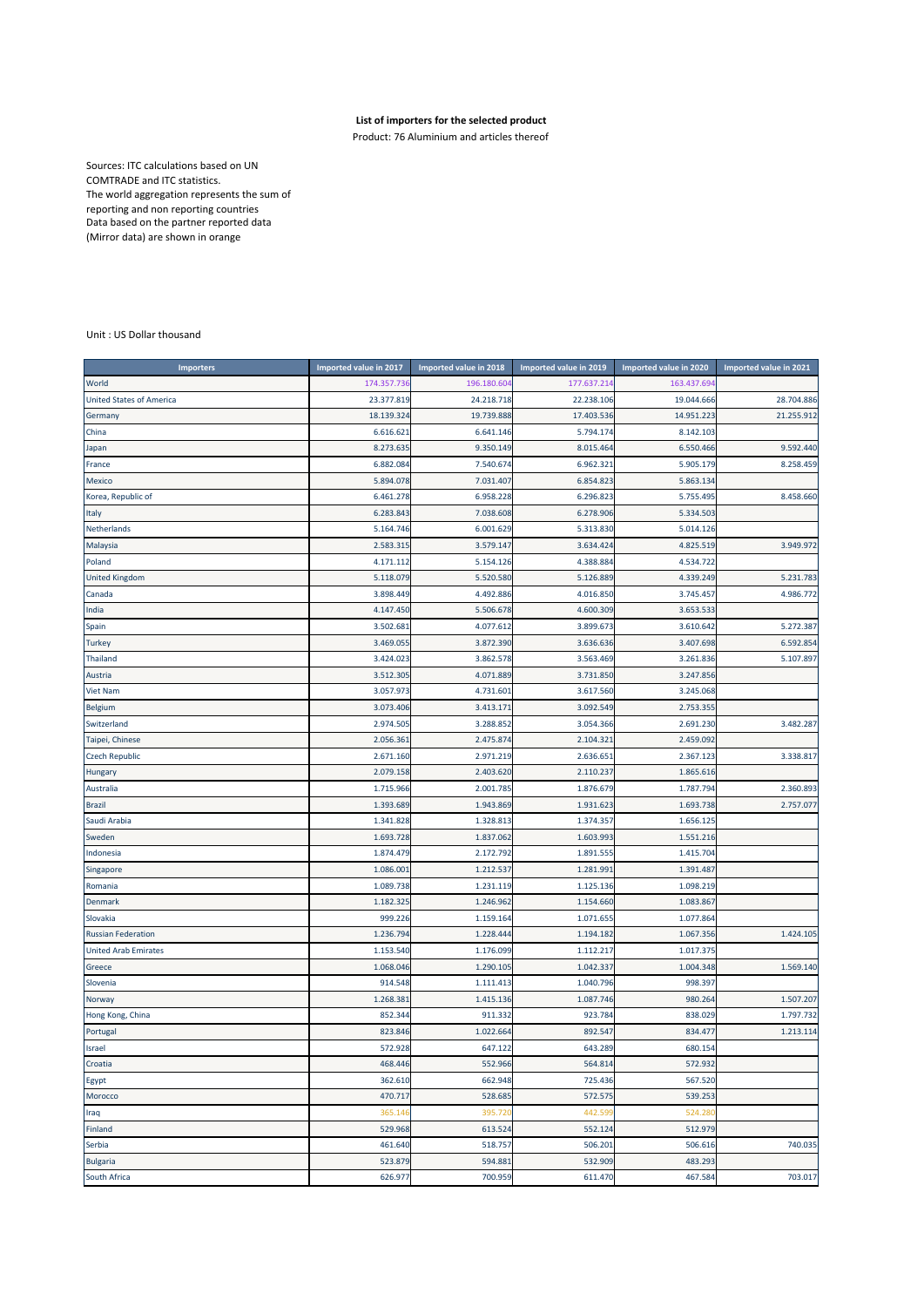## **List of importers for the selected product**

Product: 76 Aluminium and articles thereof

Sources: ITC calculations based on UN COMTRADE and ITC statistics. The world aggregation represents the sum of reporting and non reporting countries Data based on the partner reported data (Mirror data) are shown in orange

## Unit : US Dollar thousand

| <b>Importers</b>                | Imported value in 2017 | Imported value in 2018 | Imported value in 2019 | Imported value in 2020 | Imported value in 2021 |
|---------------------------------|------------------------|------------------------|------------------------|------------------------|------------------------|
| World                           | 174.357.736            | 196.180.604            | 177.637.214            | 163.437.69             |                        |
| <b>United States of America</b> | 23.377.819             | 24.218.718             | 22.238.106             | 19.044.666             | 28.704.886             |
| Germany                         | 18.139.324             | 19.739.888             | 17.403.536             | 14.951.22              | 21.255.912             |
| China                           | 6.616.621              | 6.641.146              | 5.794.174              | 8.142.103              |                        |
| Japan                           | 8.273.635              | 9.350.149              | 8.015.464              | 6.550.466              | 9.592.440              |
| France                          | 6.882.084              | 7.540.674              | 6.962.321              | 5.905.179              | 8.258.459              |
| Mexico                          | 5.894.078              | 7.031.407              | 6.854.823              | 5.863.134              |                        |
| Korea, Republic of              | 6.461.278              | 6.958.228              | 6.296.823              | 5.755.49               | 8.458.660              |
| Italy                           | 6.283.843              | 7.038.608              | 6.278.906              | 5.334.503              |                        |
| Netherlands                     | 5.164.746              | 6.001.629              | 5.313.830              | 5.014.126              |                        |
| Malaysia                        | 2.583.31               | 3.579.147              | 3.634.424              | 4.825.519              | 3.949.972              |
| Poland                          | 4.171.112              | 5.154.126              | 4.388.884              | 4.534.72               |                        |
| <b>United Kingdom</b>           | 5.118.079              | 5.520.580              | 5.126.889              | 4.339.249              | 5.231.783              |
| Canada                          | 3.898.449              | 4.492.886              | 4.016.850              | 3.745.457              | 4.986.772              |
| India                           | 4.147.450              | 5.506.678              | 4.600.309              | 3.653.533              |                        |
| Spain                           | 3.502.68               | 4.077.612              | 3.899.673              | 3.610.642              | 5.272.387              |
| <b>Turkey</b>                   | 3.469.055              | 3.872.390              | 3.636.636              | 3.407.698              | 6.592.854              |
| Thailand                        | 3.424.023              | 3.862.578              | 3.563.469              | 3.261.836              | 5.107.897              |
| Austria                         | 3.512.305              | 4.071.889              | 3.731.850              | 3.247.856              |                        |
| <b>Viet Nam</b>                 | 3.057.973              | 4.731.601              | 3.617.560              | 3.245.068              |                        |
| <b>Belgium</b>                  | 3.073.406              | 3.413.171              | 3.092.549              | 2.753.355              |                        |
| Switzerland                     | 2.974.505              | 3.288.852              | 3.054.366              | 2.691.230              | 3.482.287              |
| Taipei, Chinese                 | 2.056.36               | 2.475.874              | 2.104.321              | 2.459.092              |                        |
| <b>Czech Republic</b>           | 2.671.160              | 2.971.219              | 2.636.651              | 2.367.123              | 3.338.817              |
| <b>Hungary</b>                  | 2.079.158              | 2.403.620              | 2.110.237              | 1.865.616              |                        |
| Australia                       | 1.715.966              | 2.001.785              | 1.876.679              | 1.787.794              | 2.360.893              |
| <b>Brazil</b>                   | 1.393.689              | 1.943.869              | 1.931.623              | 1.693.738              | 2.757.077              |
| Saudi Arabia                    | 1.341.828              | 1.328.813              | 1.374.357              | 1.656.125              |                        |
| Sweden                          | 1.693.728              | 1.837.062              | 1.603.993              | 1.551.216              |                        |
| Indonesia                       | 1.874.479              | 2.172.792              | 1.891.555              | 1.415.704              |                        |
| Singapore                       | 1.086.001              | 1.212.537              | 1.281.991              | 1.391.487              |                        |
| Romania                         | 1.089.738              | 1.231.119              | 1.125.136              | 1.098.219              |                        |
| Denmark                         | 1.182.325              | 1.246.962              | 1.154.660              | 1.083.867              |                        |
| Slovakia                        | 999.226                | 1.159.164              | 1.071.655              | 1.077.86               |                        |
| <b>Russian Federation</b>       | 1.236.794              | 1.228.444              | 1.194.182              | 1.067.356              | 1.424.105              |
| <b>United Arab Emirates</b>     | 1.153.540              | 1.176.099              | 1.112.217              | 1.017.37               |                        |
| Greece                          | 1.068.046              | 1.290.105              | 1.042.337              | 1.004.348              | 1.569.140              |
| Slovenia                        | 914.548                | 1.111.413              | 1.040.796              | 998.397                |                        |
| Norway                          | 1.268.38               | 1.415.136              | 1.087.746              | 980.264                | 1.507.207              |
| Hong Kong, China                | 852.344                | 911.332                | 923.784                | 838.029                | 1.797.732              |
| Portugal                        | 823.846                | 1.022.664              | 892.547                | 834.477                | 1.213.114              |
| Israel                          | 572.928                | 647.122                | 643.289                | 680.154                |                        |
| Croatia                         | 468.446                | 552.966                | 564.814                | 572.932                |                        |
| Egypt                           | 362.610                | 662.948                | 725.436                | 567.520                |                        |
| Morocco                         | 470.717                | 528.685                | 572.575                | 539.253                |                        |
| Iraq                            | 365.14                 | 395.720                | 442.599                | 524.280                |                        |
| Finland                         | 529.968                | 613.524                | 552.124                | 512.979                |                        |
| Serbia                          | 461.640                | 518.757                | 506.201                | 506.616                | 740.035                |
| <b>Bulgaria</b>                 | 523.879                | 594.881                | 532.909                | 483.293                |                        |
| South Africa                    | 626.977                | 700.959                | 611.470                | 467.584                | 703.017                |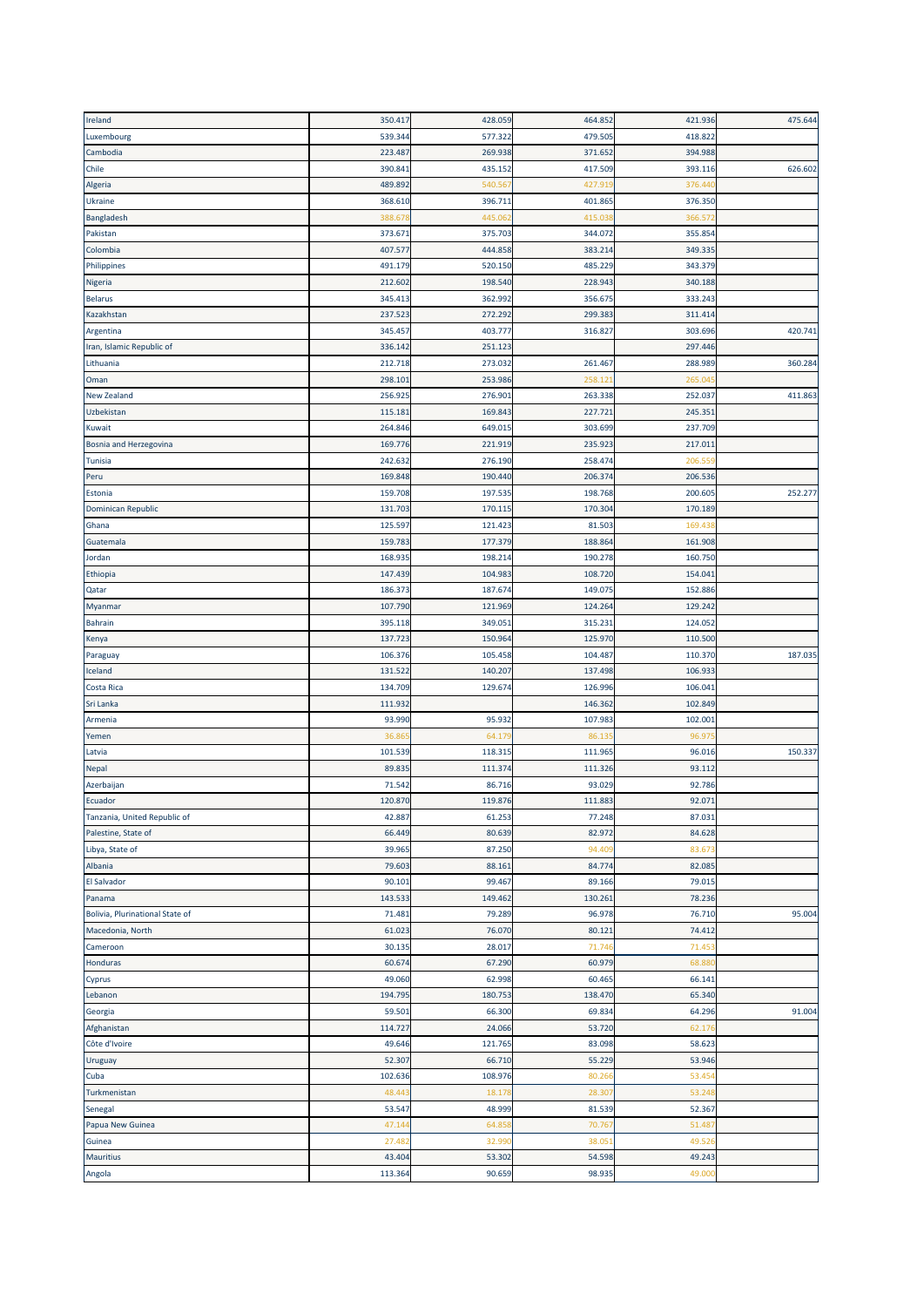| Ireland                         | 350.417 | 428.059            | 464.852 | 421.936 | 475.644 |
|---------------------------------|---------|--------------------|---------|---------|---------|
| Luxembourg                      | 539.344 | 577.322            | 479.505 | 418.822 |         |
| Cambodia                        | 223.487 | 269.938            | 371.652 | 394.988 |         |
| Chile                           | 390.841 | 435.152            | 417.509 | 393.116 | 626.602 |
| Algeria                         | 489.892 | 540.56             | 427.91  | 376.440 |         |
| Ukraine                         | 368.610 | 396.711            | 401.865 | 376.350 |         |
| Bangladesh                      | 388.67  | 445.06             | 415.03  | 366.57  |         |
| Pakistan                        | 373.671 | 375.703            | 344.072 | 355.854 |         |
| Colombia                        | 407.577 | 444.858            | 383.214 | 349.335 |         |
|                                 |         |                    |         | 343.379 |         |
| Philippines                     | 491.179 | 520.150<br>198.540 | 485.229 | 340.188 |         |
| Nigeria                         | 212.602 |                    | 228.943 |         |         |
| <b>Belarus</b>                  | 345.413 | 362.992            | 356.675 | 333.243 |         |
| Kazakhstan                      | 237.523 | 272.292            | 299.383 | 311.414 |         |
| Argentina                       | 345.457 | 403.777            | 316.827 | 303.696 | 420.741 |
| Iran, Islamic Republic of       | 336.142 | 251.123            |         | 297.446 |         |
| Lithuania                       | 212.718 | 273.032            | 261.467 | 288.989 | 360.284 |
| Oman                            | 298.101 | 253.986            | 258.12  | 265.04  |         |
| New Zealand                     | 256.925 | 276.901            | 263.338 | 252.037 | 411.863 |
| Uzbekistan                      | 115.181 | 169.843            | 227.721 | 245.351 |         |
| Kuwait                          | 264.846 | 649.015            | 303.699 | 237.709 |         |
| Bosnia and Herzegovina          | 169.776 | 221.919            | 235.923 | 217.011 |         |
| <b>Tunisia</b>                  | 242.632 | 276.190            | 258.474 | 206.55  |         |
| Peru                            | 169.848 | 190.440            | 206.374 | 206.536 |         |
| Estonia                         | 159.708 | 197.535            | 198.768 | 200.605 | 252.277 |
| Dominican Republic              | 131.703 | 170.11             | 170.304 | 170.189 |         |
| Ghana                           | 125.597 | 121.423            | 81.503  | 169.43  |         |
| Guatemala                       | 159.783 | 177.379            | 188.864 | 161.908 |         |
| Jordan                          | 168.935 | 198.214            | 190.278 | 160.750 |         |
| Ethiopia                        | 147.439 | 104.983            | 108.720 | 154.041 |         |
| Qatar                           | 186.373 | 187.674            | 149.075 | 152.886 |         |
| Myanmar                         | 107.790 | 121.969            | 124.264 | 129.242 |         |
| <b>Bahrain</b>                  | 395.118 | 349.051            | 315.231 | 124.052 |         |
| Kenya                           | 137.723 | 150.964            | 125.970 | 110.500 |         |
| Paraguay                        | 106.376 | 105.458            | 104.487 | 110.370 | 187.035 |
| Iceland                         | 131.522 | 140.207            | 137.498 | 106.933 |         |
| Costa Rica                      | 134.709 | 129.674            | 126.996 | 106.041 |         |
| Sri Lanka                       | 111.932 |                    | 146.362 | 102.849 |         |
| Armenia                         | 93.990  | 95.932             | 107.983 | 102.001 |         |
| Yemen                           | 36.86   | 64.17              | 86.13   | 96.97   |         |
| Latvia                          | 101.539 | 118.31             | 111.965 | 96.016  | 150.337 |
| Nepal                           | 89.835  | 111.374            | 111.326 | 93.112  |         |
| Azerbaijan                      | 71.542  | 86.716             | 93.029  | 92.786  |         |
| Ecuador                         | 120.870 | 119.876            | 111.883 | 92.071  |         |
| Tanzania, United Republic of    | 42.887  | 61.253             | 77.248  | 87.031  |         |
| Palestine, State of             | 66.449  | 80.639             | 82.972  | 84.628  |         |
| Libya, State of                 | 39.965  | 87.250             | 94.409  | 83.673  |         |
| Albania                         | 79.603  | 88.161             | 84.774  | 82.085  |         |
| El Salvador                     | 90.101  | 99.467             | 89.166  | 79.015  |         |
| Panama                          | 143.533 | 149.462            | 130.261 | 78.236  |         |
| Bolivia, Plurinational State of | 71.481  | 79.289             | 96.978  | 76.710  | 95.004  |
| Macedonia, North                | 61.023  | 76.070             | 80.121  | 74.412  |         |
| Cameroon                        | 30.135  | 28.017             | 71.74   | 71.453  |         |
| Honduras                        | 60.674  | 67.290             | 60.979  | 68.880  |         |
| Cyprus                          | 49.060  | 62.998             | 60.465  | 66.141  |         |
| Lebanon                         | 194.795 | 180.753            | 138.470 | 65.340  |         |
| Georgia                         | 59.501  | 66.300             | 69.834  | 64.296  | 91.004  |
| Afghanistan                     | 114.727 | 24.066             | 53.720  | 62.176  |         |
| Côte d'Ivoire                   | 49.646  | 121.765            | 83.098  | 58.623  |         |
| Uruguay                         | 52.307  | 66.710             | 55.229  | 53.946  |         |
| Cuba                            | 102.636 | 108.976            | 80.26   | 53.454  |         |
| Turkmenistan                    | 48.443  | 18.17              | 28.30   | 53.248  |         |
| Senegal                         | 53.547  | 48.999             | 81.539  | 52.367  |         |
| Papua New Guinea                | 47.144  | 64.85              | 70.76   | 51.48   |         |
| Guinea                          | 27.48   | 32.99              | 38.05   | 49.526  |         |
| <b>Mauritius</b>                | 43.404  | 53.302             | 54.598  | 49.243  |         |
| Angola                          | 113.364 | 90.659             | 98.935  | 49.000  |         |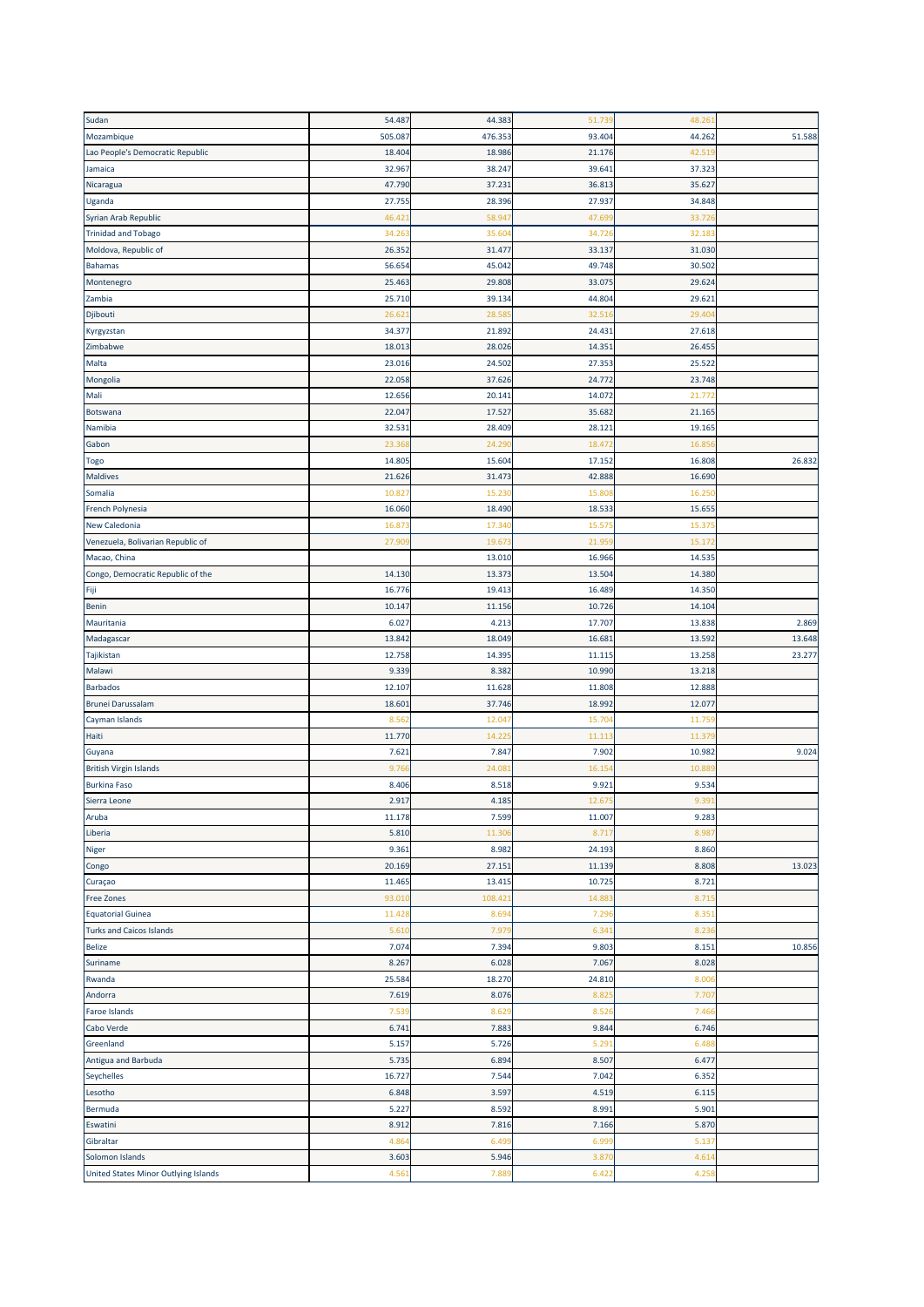| Sudan                                  | 54.487  | 44.383  | 51.739 | 48.26  |        |
|----------------------------------------|---------|---------|--------|--------|--------|
| Mozambique                             | 505.087 | 476.353 | 93.404 | 44.262 | 51.588 |
| Lao People's Democratic Republic       | 18.404  | 18.986  | 21.176 | 42.51  |        |
| Jamaica                                | 32.967  | 38.247  | 39.641 | 37.323 |        |
| Nicaragua                              | 47.790  | 37.23:  | 36.813 | 35.627 |        |
| Uganda                                 | 27.755  | 28.396  | 27.937 | 34.848 |        |
|                                        |         |         |        |        |        |
| Syrian Arab Republic                   | 46.42   | 58.94   | 47.69  | 33.72  |        |
| <b>Trinidad and Tobago</b>             | 34.263  | 35.60   | 34.726 | 32.18  |        |
| Moldova, Republic of                   | 26.352  | 31.477  | 33.137 | 31.030 |        |
| <b>Bahamas</b>                         | 56.654  | 45.042  | 49.748 | 30.502 |        |
| Montenegro                             | 25.463  | 29.808  | 33.075 | 29.624 |        |
| Zambia                                 | 25.710  | 39.134  | 44.804 | 29.62  |        |
| Djibouti                               | 26.62   | 28.58   | 32.51  | 29.40  |        |
| Kyrgyzstan                             | 34.377  | 21.892  | 24.43  | 27.618 |        |
| Zimbabwe                               | 18.01   | 28.026  | 14.351 | 26.45  |        |
| Malta                                  | 23.016  | 24.502  | 27.353 | 25.522 |        |
| Mongolia                               | 22.058  | 37.626  | 24.772 | 23.748 |        |
| Mali                                   | 12.656  | 20.14:  | 14.072 | 21.77  |        |
| Botswana                               | 22.047  | 17.527  | 35.682 | 21.165 |        |
| Namibia                                | 32.531  | 28.409  | 28.121 | 19.165 |        |
| Gabon                                  | 23.36   | 24.29   | 18.472 | 16.85  |        |
|                                        | 14.805  | 15.604  | 17.152 | 16.808 | 26.832 |
| Togo                                   |         |         |        |        |        |
| <b>Maldives</b>                        | 21.626  | 31.473  | 42.888 | 16.690 |        |
| Somalia                                | 10.82   | 15.23   | 15.80  | 16.25  |        |
| <b>French Polynesia</b>                | 16.060  | 18.490  | 18.533 | 15.655 |        |
| New Caledonia                          | 16.87   | 17.34   | 15.57  | 15.37  |        |
| Venezuela, Bolivarian Republic of      | 27.90   | 19.67   | 21.95  | 15.17  |        |
| Macao, China                           |         | 13.010  | 16.966 | 14.535 |        |
| Congo, Democratic Republic of the      | 14.130  | 13.373  | 13.504 | 14.380 |        |
| Fiji                                   | 16.776  | 19.413  | 16.489 | 14.350 |        |
| <b>Benin</b>                           | 10.147  | 11.156  | 10.726 | 14.104 |        |
| Mauritania                             | 6.027   | 4.213   | 17.707 | 13.838 | 2.869  |
| Madagascar                             | 13.842  | 18.049  | 16.681 | 13.592 | 13.648 |
| Tajikistan                             | 12.758  | 14.395  | 11.115 | 13.258 | 23.277 |
| Malawi                                 | 9.339   | 8.382   | 10.990 | 13.218 |        |
| <b>Barbados</b>                        | 12.107  | 11.628  | 11.808 | 12.888 |        |
| <b>Brunei Darussalam</b>               | 18.60   | 37.746  | 18.992 | 12.07  |        |
| Cayman Islands                         | 8.56    | 12.04   | 15.70  | 11.75  |        |
|                                        |         |         |        |        |        |
| Haiti                                  | 11.770  | 14.22   | 11.113 | 11.37  |        |
| Guyana                                 | 7.621   |         |        |        |        |
|                                        |         | 7.847   | 7.902  | 10.982 | 9.024  |
| <b>British Virgin Islands</b>          | 9.76    | 24.08   | 16.15  | 10.88  |        |
| <b>Burkina Faso</b>                    | 8.406   | 8.518   | 9.921  | 9.534  |        |
| Sierra Leone                           | 2.917   | 4.185   | 12.675 | 9.39   |        |
| Aruba                                  | 11.178  | 7.599   | 11.007 | 9.283  |        |
| Liberia                                | 5.810   | 11.30   | 8.717  | 8.98   |        |
| Niger                                  | 9.361   | 8.982   | 24.193 | 8.860  |        |
| Congo                                  | 20.169  | 27.151  | 11.139 | 8.808  | 13.023 |
| Curaçao                                | 11.465  | 13.415  | 10.725 | 8.721  |        |
|                                        | 93.01   | 108.42  | 14.88  | 8.71   |        |
| Free Zones<br><b>Equatorial Guinea</b> | 11.428  | 8.69    | 7.296  | 8.35   |        |
|                                        |         |         |        |        |        |
| <b>Turks and Caicos Islands</b>        | 5.610   | 7.97    | 6.341  | 8.23   |        |
| Belize                                 | 7.074   | 7.394   | 9.803  | 8.151  | 10.856 |
| Suriname                               | 8.267   | 6.028   | 7.067  | 8.028  |        |
| Rwanda                                 | 25.584  | 18.270  | 24.810 | 8.00   |        |
| Andorra                                | 7.619   | 8.076   | 8.82   | 7.70   |        |
| <b>Faroe Islands</b>                   | 7.539   | 8.629   | 8.526  | 7.46   |        |
| Cabo Verde                             | 6.741   | 7.883   | 9.844  | 6.746  |        |
| Greenland                              | 5.157   | 5.726   | 5.291  | 6.488  |        |
| Antigua and Barbuda                    | 5.735   | 6.894   | 8.507  | 6.477  |        |
| Seychelles                             | 16.727  | 7.544   | 7.042  | 6.352  |        |
| Lesotho                                | 6.848   | 3.597   | 4.519  | 6.115  |        |
| Bermuda                                | 5.227   | 8.592   | 8.991  | 5.901  |        |
| Eswatini                               | 8.912   | 7.816   | 7.166  | 5.870  |        |
| Gibraltar                              | 4.86    | 6.49    | 6.99   | 5.13   |        |
| Solomon Islands                        | 3.603   | 5.946   | 3.87   | 4.61   |        |